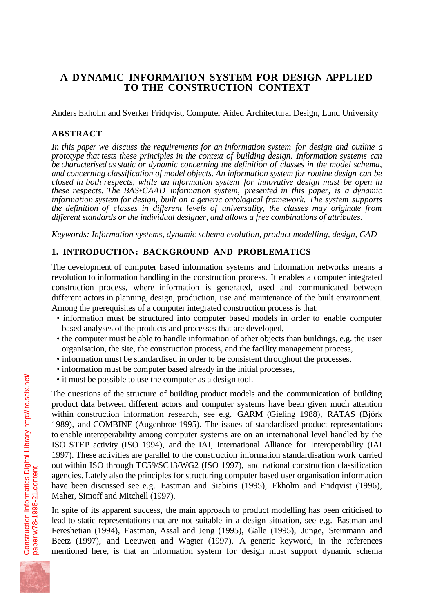# **A DYNAMIC INFORMATION SYSTEM FOR DESIGN APPLIED TO THE CONSTRUCTION CONTEXT**

Anders Ekholm and Sverker Fridqvist, Computer Aided Architectural Design, Lund University

# **ABSTRACT**

*In this paper we discuss the requirements for an information system for design and outline a prototype that tests these principles in the context of building design. Information systems can be characterised as static or dynamic concerning the definition of classes in the model schema, and concerning classification of model objects. An information system for routine design can be closed in both respects, while an information system for innovative design must be open in these respects. The BAS•CAAD information system, presented in this paper, is a dynamic information system for design, built on a generic ontological framework. The system supports the definition of classes in different levels of universality, the classes may originate from different standards or the individual designer, and allows a free combinations of attributes.*

*Keywords: Information systems, dynamic schema evolution, product modelling, design, CAD*

# **1. INTRODUCTION: BACKGROUND AND PROBLEMATICS**

The development of computer based information systems and information networks means a revolution to information handling in the construction process. It enables a computer integrated construction process, where information is generated, used and communicated between different actors in planning, design, production, use and maintenance of the built environment. Among the prerequisites of a computer integrated construction process is that:

- information must be structured into computer based models in order to enable computer based analyses of the products and processes that are developed,
- the computer must be able to handle information of other objects than buildings, e.g. the user organisation, the site, the construction process, and the facility management process,
- information must be standardised in order to be consistent throughout the processes,
- information must be computer based already in the initial processes,
- it must be possible to use the computer as a design tool.

The questions of the structure of building product models and the communication of building product data between different actors and computer systems have been given much attention within construction information research, see e.g. GARM (Gieling 1988), RATAS (Björk 1989), and COMBINE (Augenbroe 1995). The issues of standardised product representations to enable interoperability among computer systems are on an international level handled by the ISO STEP activity (ISO 1994), and the IAI, International Alliance for Interoperability (IAI 1997). These activities are parallel to the construction information standardisation work carried out within ISO through TC59/SC13/WG2 (ISO 1997), and national construction classification agencies. Lately also the principles for structuring computer based user organisation information have been discussed see e.g. Eastman and Siabiris (1995), Ekholm and Fridqvist (1996), Maher, Simoff and Mitchell (1997).

In spite of its apparent success, the main approach to product modelling has been criticised to lead to static representations that are not suitable in a design situation, see e.g. Eastman and Fereshetian (1994), Eastman, Assal and Jeng (1995), Galle (1995), Junge, Steinmann and Beetz (1997), and Leeuwen and Wagter (1997). A generic keyword, in the references mentioned here, is that an information system for design must support dynamic schema

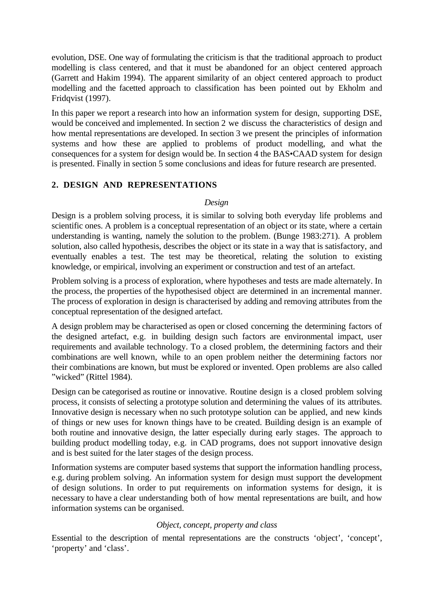evolution, DSE. One way of formulating the criticism is that the traditional approach to product modelling is class centered, and that it must be abandoned for an object centered approach (Garrett and Hakim 1994). The apparent similarity of an object centered approach to product modelling and the facetted approach to classification has been pointed out by Ekholm and Fridqvist (1997).

In this paper we report a research into how an information system for design, supporting DSE, would be conceived and implemented. In section 2 we discuss the characteristics of design and how mental representations are developed. In section 3 we present the principles of information systems and how these are applied to problems of product modelling, and what the consequences for a system for design would be. In section 4 the BAS•CAAD system for design is presented. Finally in section 5 some conclusions and ideas for future research are presented.

# **2. DESIGN AND REPRESENTATIONS**

#### *Design*

Design is a problem solving process, it is similar to solving both everyday life problems and scientific ones. A problem is a conceptual representation of an object or its state, where a certain understanding is wanting, namely the solution to the problem. (Bunge 1983:271). A problem solution, also called hypothesis, describes the object or its state in a way that is satisfactory, and eventually enables a test. The test may be theoretical, relating the solution to existing knowledge, or empirical, involving an experiment or construction and test of an artefact.

Problem solving is a process of exploration, where hypotheses and tests are made alternately. In the process, the properties of the hypothesised object are determined in an incremental manner. The process of exploration in design is characterised by adding and removing attributes from the conceptual representation of the designed artefact.

A design problem may be characterised as open or closed concerning the determining factors of the designed artefact, e.g. in building design such factors are environmental impact, user requirements and available technology. To a closed problem, the determining factors and their combinations are well known, while to an open problem neither the determining factors nor their combinations are known, but must be explored or invented. Open problems are also called "wicked" (Rittel 1984).

Design can be categorised as routine or innovative. Routine design is a closed problem solving process, it consists of selecting a prototype solution and determining the values of its attributes. Innovative design is necessary when no such prototype solution can be applied, and new kinds of things or new uses for known things have to be created. Building design is an example of both routine and innovative design, the latter especially during early stages. The approach to building product modelling today, e.g. in CAD programs, does not support innovative design and is best suited for the later stages of the design process.

Information systems are computer based systems that support the information handling process, e.g. during problem solving. An information system for design must support the development of design solutions. In order to put requirements on information systems for design, it is necessary to have a clear understanding both of how mental representations are built, and how information systems can be organised.

# *Object, concept, property and class*

Essential to the description of mental representations are the constructs 'object', 'concept', 'property' and 'class'.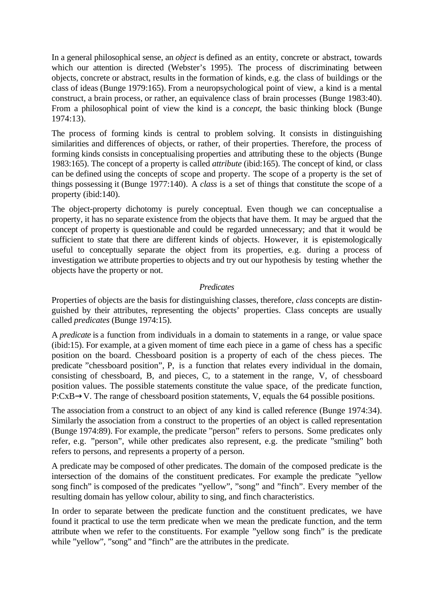In a general philosophical sense, an *object* is defined as an entity, concrete or abstract, towards which our attention is directed (Webster's 1995). The process of discriminating between objects, concrete or abstract, results in the formation of kinds, e.g. the class of buildings or the class of ideas (Bunge 1979:165). From a neuropsychological point of view, a kind is a mental construct, a brain process, or rather, an equivalence class of brain processes (Bunge 1983:40). From a philosophical point of view the kind is a *concept*, the basic thinking block (Bunge 1974:13).

The process of forming kinds is central to problem solving. It consists in distinguishing similarities and differences of objects, or rather, of their properties. Therefore, the process of forming kinds consists in conceptualising properties and attributing these to the objects (Bunge 1983:165). The concept of a property is called *attribute* (ibid:165). The concept of kind, or class can be defined using the concepts of scope and property. The scope of a property is the set of things possessing it (Bunge 1977:140). A *class* is a set of things that constitute the scope of a property (ibid:140).

The object-property dichotomy is purely conceptual. Even though we can conceptualise a property, it has no separate existence from the objects that have them. It may be argued that the concept of property is questionable and could be regarded unnecessary; and that it would be sufficient to state that there are different kinds of objects. However, it is epistemologically useful to conceptually separate the object from its properties, e.g. during a process of investigation we attribute properties to objects and try out our hypothesis by testing whether the objects have the property or not.

# *Predicates*

Properties of objects are the basis for distinguishing classes, therefore, *class* concepts are distinguished by their attributes, representing the objects' properties. Class concepts are usually called *predicates* (Bunge 1974:15).

A *predicate* is a function from individuals in a domain to statements in a range, or value space (ibid:15). For example, at a given moment of time each piece in a game of chess has a specific position on the board. Chessboard position is a property of each of the chess pieces. The predicate "chessboard position", P, is a function that relates every individual in the domain, consisting of chessboard, B, and pieces, C, to a statement in the range, V, of chessboard position values. The possible statements constitute the value space, of the predicate function, P:CxB→V. The range of chessboard position statements, V, equals the 64 possible positions.

The association from a construct to an object of any kind is called reference (Bunge 1974:34). Similarly the association from a construct to the properties of an object is called representation (Bunge 1974:89). For example, the predicate "person" refers to persons. Some predicates only refer, e.g. "person", while other predicates also represent, e.g. the predicate "smiling" both refers to persons, and represents a property of a person.

A predicate may be composed of other predicates. The domain of the composed predicate is the intersection of the domains of the constituent predicates. For example the predicate "yellow song finch" is composed of the predicates "yellow", "song" and "finch". Every member of the resulting domain has yellow colour, ability to sing, and finch characteristics.

In order to separate between the predicate function and the constituent predicates, we have found it practical to use the term predicate when we mean the predicate function, and the term attribute when we refer to the constituents. For example "yellow song finch" is the predicate while "yellow", "song" and "finch" are the attributes in the predicate.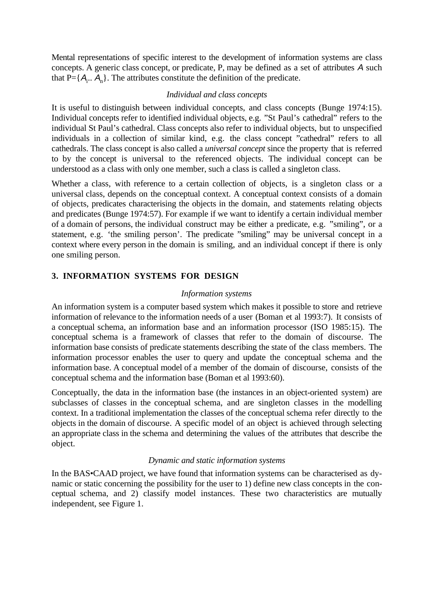Mental representations of specific interest to the development of information systems are class concepts. A generic class concept, or predicate, P, may be defined as a set of attributes A such that  $P = \{A_i, A_n\}$ . The attributes constitute the definition of the predicate.

# *Individual and class concepts*

It is useful to distinguish between individual concepts, and class concepts (Bunge 1974:15). Individual concepts refer to identified individual objects, e.g. "St Paul's cathedral" refers to the individual St Paul's cathedral. Class concepts also refer to individual objects, but to unspecified individuals in a collection of similar kind, e.g. the class concept "cathedral" refers to all cathedrals. The class concept is also called a *universal concept* since the property that is referred to by the concept is universal to the referenced objects. The individual concept can be understood as a class with only one member, such a class is called a singleton class.

Whether a class, with reference to a certain collection of objects, is a singleton class or a universal class, depends on the conceptual context. A conceptual context consists of a domain of objects, predicates characterising the objects in the domain, and statements relating objects and predicates (Bunge 1974:57). For example if we want to identify a certain individual member of a domain of persons, the individual construct may be either a predicate, e.g. "smiling", or a statement, e.g. 'the smiling person'. The predicate "smiling" may be universal concept in a context where every person in the domain is smiling, and an individual concept if there is only one smiling person.

# **3. INFORMATION SYSTEMS FOR DESIGN**

# *Information systems*

An information system is a computer based system which makes it possible to store and retrieve information of relevance to the information needs of a user (Boman et al 1993:7). It consists of a conceptual schema, an information base and an information processor (ISO 1985:15). The conceptual schema is a framework of classes that refer to the domain of discourse. The information base consists of predicate statements describing the state of the class members. The information processor enables the user to query and update the conceptual schema and the information base. A conceptual model of a member of the domain of discourse, consists of the conceptual schema and the information base (Boman et al 1993:60).

Conceptually, the data in the information base (the instances in an object-oriented system) are subclasses of classes in the conceptual schema, and are singleton classes in the modelling context. In a traditional implementation the classes of the conceptual schema refer directly to the objects in the domain of discourse. A specific model of an object is achieved through selecting an appropriate class in the schema and determining the values of the attributes that describe the object.

# *Dynamic and static information systems*

In the BAS•CAAD project, we have found that information systems can be characterised as dynamic or static concerning the possibility for the user to 1) define new class concepts in the conceptual schema, and 2) classify model instances. These two characteristics are mutually independent, see Figure 1.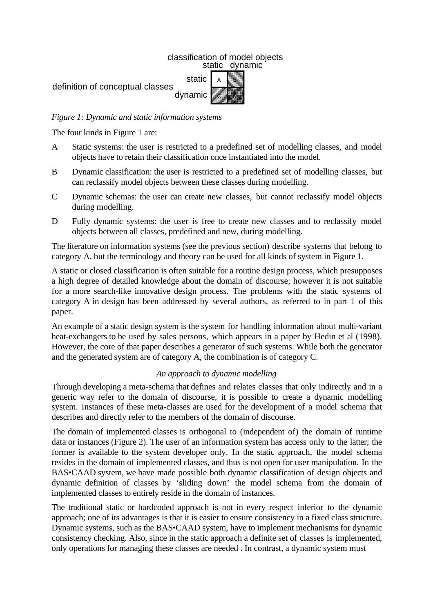# classification of model objects static dynamic



# *Figure 1: Dynamic and static information systems*

The four kinds in Figure 1 are:

- A Static systems: the user is restricted to a predefined set of modelling classes, and model objects have to retain their classification once instantiated into the model.
- B Dynamic classification: the user is restricted to a predefined set of modelling classes, but can reclassify model objects between these classes during modelling.
- C Dynamic schemas: the user can create new classes, but cannot reclassify model objects during modelling.
- D Fully dynamic systems: the user is free to create new classes and to reclassify model objects between all classes, predefined and new, during modelling.

The literature on information systems (see the previous section) describe systems that belong to category A, but the terminology and theory can be used for all kinds of system in Figure 1.

A static or closed classification is often suitable for a routine design process, which presupposes a high degree of detailed knowledge about the domain of discourse; however it is not suitable for a more search-like innovative design process. The problems with the static systems of category A in design has been addressed by several authors, as referred to in part 1 of this paper.

An example of a static design system is the system for handling information about multi-variant heat-exchangers to be used by sales persons, which appears in a paper by Hedin et al (1998). However, the core of that paper describes a generator of such systems. While both the generator and the generated system are of category A, the combination is of category C.

# *An approach to dynamic modelling*

Through developing a meta-schema that defines and relates classes that only indirectly and in a generic way refer to the domain of discourse, it is possible to create a dynamic modelling system. Instances of these meta-classes are used for the development of a model schema that describes and directly refer to the members of the domain of discourse.

The domain of implemented classes is orthogonal to (independent of) the domain of runtime data or instances (Figure 2). The user of an information system has access only to the latter; the former is available to the system developer only. In the static approach, the model schema resides in the domain of implemented classes, and thus is not open for user manipulation. In the BAS•CAAD system, we have made possible both dynamic classification of design objects and dynamic definition of classes by 'sliding down' the model schema from the domain of implemented classes to entirely reside in the domain of instances.

The traditional static or hardcoded approach is not in every respect inferior to the dynamic approach; one of its advantages is that it is easier to ensure consistency in a fixed class structure. Dynamic systems, such as the BAS•CAAD system, have to implement mechanisms for dynamic consistency checking. Also, since in the static approach a definite set of classes is implemented, only operations for managing these classes are needed . In contrast, a dynamic system must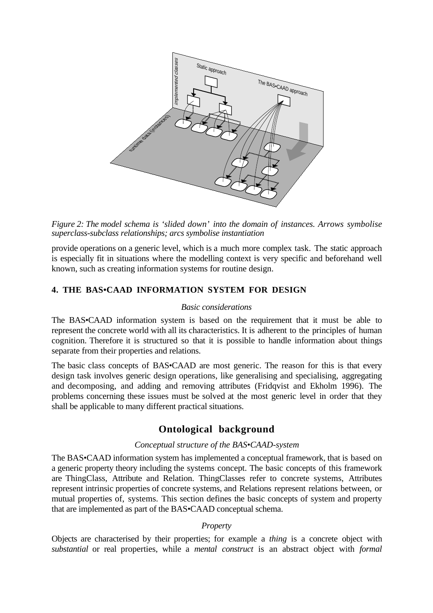

*Figure 2: The model schema is 'slided down' into the domain of instances. Arrows symbolise superclass-subclass relationships; arcs symbolise instantiation*

provide operations on a generic level, which is a much more complex task. The static approach is especially fit in situations where the modelling context is very specific and beforehand well known, such as creating information systems for routine design.

# **4. THE BAS•CAAD INFORMATION SYSTEM FOR DESIGN**

#### *Basic considerations*

The BAS•CAAD information system is based on the requirement that it must be able to represent the concrete world with all its characteristics. It is adherent to the principles of human cognition. Therefore it is structured so that it is possible to handle information about things separate from their properties and relations.

The basic class concepts of BAS•CAAD are most generic. The reason for this is that every design task involves generic design operations, like generalising and specialising, aggregating and decomposing, and adding and removing attributes (Fridqvist and Ekholm 1996). The problems concerning these issues must be solved at the most generic level in order that they shall be applicable to many different practical situations.

# **Ontological background**

#### *Conceptual structure of the BAS•CAAD-system*

The BAS•CAAD information system has implemented a conceptual framework, that is based on a generic property theory including the systems concept. The basic concepts of this framework are ThingClass, Attribute and Relation. ThingClasses refer to concrete systems, Attributes represent intrinsic properties of concrete systems, and Relations represent relations between, or mutual properties of, systems. This section defines the basic concepts of system and property that are implemented as part of the BAS•CAAD conceptual schema.

#### *Property*

Objects are characterised by their properties; for example a *thing* is a concrete object with *substantial* or real properties, while a *mental construct* is an abstract object with *formal*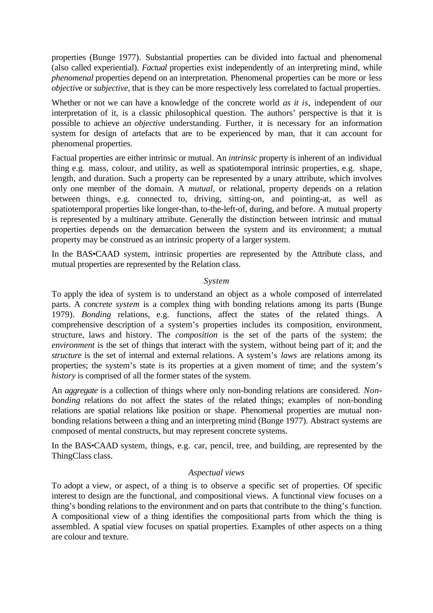properties (Bunge 1977). Substantial properties can be divided into factual and phenomenal (also called experiential). *Factual* properties exist independently of an interpreting mind, while *phenomenal* properties depend on an interpretation. Phenomenal properties can be more or less *objective* or *subjective*, that is they can be more respectively less correlated to factual properties.

Whether or not we can have a knowledge of the concrete world *as it is*, independent of our interpretation of it, is a classic philosophical question. The authors' perspective is that it is possible to achieve an *objective* understanding. Further, it is necessary for an information system for design of artefacts that are to be experienced by man, that it can account for phenomenal properties.

Factual properties are either intrinsic or mutual. An *intrinsic* property is inherent of an individual thing e.g. mass, colour, and utility, as well as spatiotemporal intrinsic properties, e.g. shape, length, and duration. Such a property can be represented by a unary attribute, which involves only one member of the domain. A *mutual,* or relational, property depends on a relation between things, e.g. connected to, driving, sitting-on, and pointing-at, as well as spatiotemporal properties like longer-than, to-the-left-of, during, and before. A mutual property is represented by a multinary attribute. Generally the distinction between intrinsic and mutual properties depends on the demarcation between the system and its environment; a mutual property may be construed as an intrinsic property of a larger system.

In the BAS•CAAD system, intrinsic properties are represented by the Attribute class, and mutual properties are represented by the Relation class.

#### *System*

To apply the idea of system is to understand an object as a whole composed of interrelated parts. A *concrete system* is a complex thing with bonding relations among its parts (Bunge 1979). *Bonding* relations, e.g. functions, affect the states of the related things. A comprehensive description of a system's properties includes its composition, environment, structure, laws and history. The *composition* is the set of the parts of the system; the *environment* is the set of things that interact with the system, without being part of it; and the *structure* is the set of internal and external relations. A system's *laws* are relations among its properties; the system's state is its properties at a given moment of time; and the system's *history* is comprised of all the former states of the system.

An *aggregate* is a collection of things where only non-bonding relations are considered. *Nonbonding* relations do not affect the states of the related things; examples of non-bonding relations are spatial relations like position or shape. Phenomenal properties are mutual nonbonding relations between a thing and an interpreting mind (Bunge 1977). Abstract systems are composed of mental constructs, but may represent concrete systems.

In the BAS•CAAD system, things, e.g. car, pencil, tree, and building, are represented by the ThingClass class.

#### *Aspectual views*

To adopt a view, or aspect, of a thing is to observe a specific set of properties. Of specific interest to design are the functional, and compositional views. A functional view focuses on a thing's bonding relations to the environment and on parts that contribute to the thing's function. A compositional view of a thing identifies the compositional parts from which the thing is assembled. A spatial view focuses on spatial properties. Examples of other aspects on a thing are colour and texture.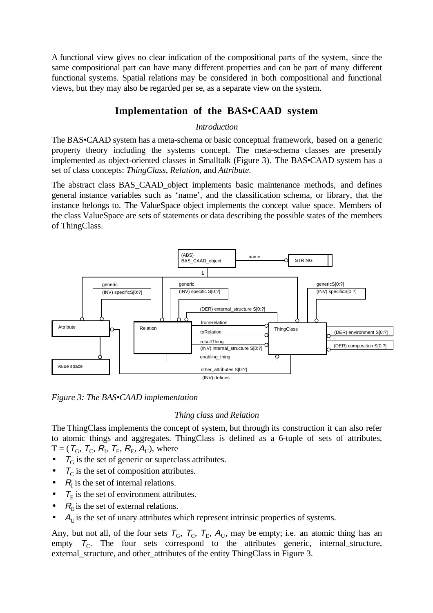A functional view gives no clear indication of the compositional parts of the system, since the same compositional part can have many different properties and can be part of many different functional systems. Spatial relations may be considered in both compositional and functional views, but they may also be regarded per se, as a separate view on the system.

# **Implementation of the BAS•CAAD system**

# *Introduction*

The BAS•CAAD system has a meta-schema or basic conceptual framework, based on a generic property theory including the systems concept. The meta-schema classes are presently implemented as object-oriented classes in Smalltalk (Figure 3). The BAS•CAAD system has a set of class concepts: *ThingClass*, *Relation*, and *Attribute*.

The abstract class BAS\_CAAD\_object implements basic maintenance methods, and defines general instance variables such as 'name', and the classification schema, or library, that the instance belongs to. The ValueSpace object implements the concept value space. Members of the class ValueSpace are sets of statements or data describing the possible states of the members of ThingClass.



*Figure 3: The BAS•CAAD implementation*

# *Thing class and Relation*

The ThingClass implements the concept of system, but through its construction it can also refer to atomic things and aggregates. ThingClass is defined as a 6-tuple of sets of attributes,  $T = (T_{\text{G}}, T_{\text{C}}, R_{\text{I}}, T_{\text{E}}, R_{\text{E}}, A_{\text{U}})$ , where

- $\tau<sub>G</sub>$  is the set of generic or superclass attributes.
- $T_{\text{C}}$  is the set of composition attributes.
- $R_I$  is the set of internal relations.
- $\tau_{\rm E}$  is the set of environment attributes.
- $R<sub>E</sub>$  is the set of external relations.
- $A<sub>U</sub>$  is the set of unary attributes which represent intrinsic properties of systems.

Any, but not all, of the four sets  $T_G$ ,  $T_F$ ,  $T_E$ ,  $A_U$ , may be empty; i.e. an atomic thing has an empty  $T_c$ . The four sets correspond to the attributes generic, internal\_structure, external\_structure, and other\_attributes of the entity ThingClass in Figure 3.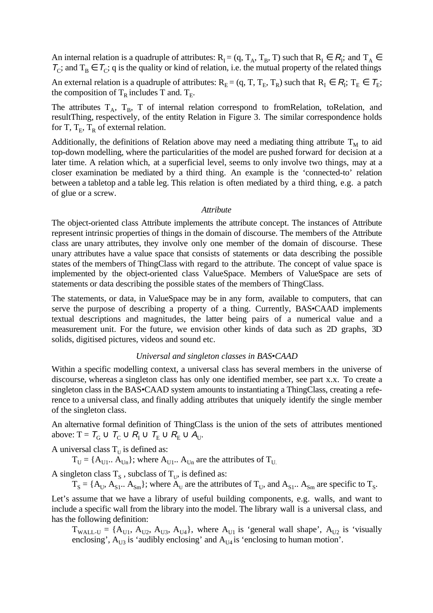An internal relation is a quadruple of attributes:  $R_I = (q, T_A, T_B, T)$  such that  $R_I \in R_I$ ; and  $T_A \in$  $T_c$ ; and  $T_B \in T_c$ ; q is the quality or kind of relation, i.e. the mutual property of the related things

An external relation is a quadruple of attributes:  $R_E = (q, T, T_E, T_R)$  such that  $R_I \in R_I$ ;  $T_E \in T_E$ ; the composition of  $T_R$  includes T and.  $T_E$ .

The attributes  $T_A$ ,  $T_B$ , T of internal relation correspond to fromRelation, toRelation, and resultThing, respectively, of the entity Relation in Figure 3. The similar correspondence holds for T,  $T_E$ ,  $T_R$  of external relation.

Additionally, the definitions of Relation above may need a mediating thing attribute  $T<sub>M</sub>$  to aid top-down modelling, where the particularities of the model are pushed forward for decision at a later time. A relation which, at a superficial level, seems to only involve two things, may at a closer examination be mediated by a third thing. An example is the 'connected-to' relation between a tabletop and a table leg. This relation is often mediated by a third thing, e.g. a patch of glue or a screw.

#### *Attribute*

The object-oriented class Attribute implements the attribute concept. The instances of Attribute represent intrinsic properties of things in the domain of discourse. The members of the Attribute class are unary attributes, they involve only one member of the domain of discourse. These unary attributes have a value space that consists of statements or data describing the possible states of the members of ThingClass with regard to the attribute. The concept of value space is implemented by the object-oriented class ValueSpace. Members of ValueSpace are sets of statements or data describing the possible states of the members of ThingClass.

The statements, or data, in ValueSpace may be in any form, available to computers, that can serve the purpose of describing a property of a thing. Currently, BAS•CAAD implements textual descriptions and magnitudes, the latter being pairs of a numerical value and a measurement unit. For the future, we envision other kinds of data such as 2D graphs, 3D solids, digitised pictures, videos and sound etc.

# *Universal and singleton classes in BAS•CAAD*

Within a specific modelling context, a universal class has several members in the universe of discourse, whereas a singleton class has only one identified member, see part x.x. To create a singleton class in the BAS•CAAD system amounts to instantiating a ThingClass, creating a reference to a universal class, and finally adding attributes that uniquely identify the single member of the singleton class.

An alternative formal definition of ThingClass is the union of the sets of attributes mentioned above: T =  $T_G \cup T_C \cup R_I \cup T_E \cup R_E \cup A_U$ .

A universal class  $T_{\text{U}}$  is defined as:

 $T_{\text{U}} = \{A_{\text{U}}\}$ ; where  $A_{\text{U}}$ .  $A_{\text{U}}$  are the attributes of  $T_{\text{U}}$ 

A singleton class  $T_s$ , subclass of  $T_{U}$ , is defined as:

 $T_S = \{A_{U}, A_{S1} \ldots A_{Sm}\}\;$  where  $A_{U}$  are the attributes of  $T_U$ , and  $A_{S1} \ldots A_{Sm}$  are specific to  $T_S$ .

Let's assume that we have a library of useful building components, e.g. walls, and want to include a specific wall from the library into the model. The library wall is a universal class, and has the following definition:

 $T_{\text{WALL-U}} = \{A_{\text{U1}}, A_{\text{U2}}, A_{\text{U3}}, A_{\text{U4}}\}$ , where  $A_{\text{U1}}$  is 'general wall shape',  $A_{\text{U2}}$  is 'visually enclosing',  $A_{U3}$  is 'audibly enclosing' and  $A_{U4}$  is 'enclosing to human motion'.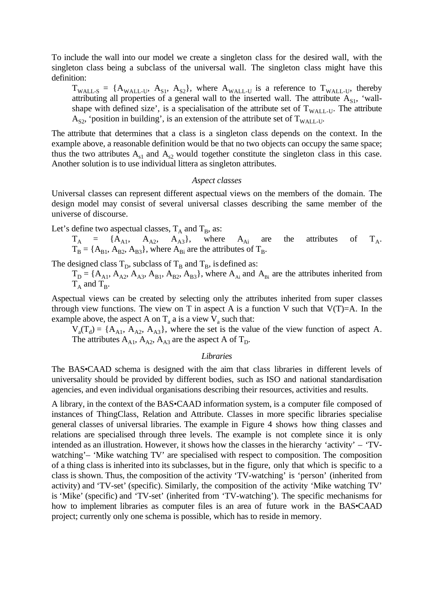To include the wall into our model we create a singleton class for the desired wall, with the singleton class being a subclass of the universal wall. The singleton class might have this definition:

 $T_{\text{WALL-S}} = \{A_{\text{WALL-U}}, A_{\text{S1}}, A_{\text{S2}}\}$ , where  $A_{\text{WALL-U}}$  is a reference to  $T_{\text{WALL-U}}$ , thereby attributing all properties of a general wall to the inserted wall. The attribute  $A_{S1}$ , 'wallshape with defined size', is a specialisation of the attribute set of  $T_{WAIL-UL}$ . The attribute  $A_{S2}$ , 'position in building', is an extension of the attribute set of  $T_{WAIL-1}$ .

The attribute that determines that a class is a singleton class depends on the context. In the example above, a reasonable definition would be that no two objects can occupy the same space; thus the two attributes  $A_{s1}$  and  $A_{s2}$  would together constitute the singleton class in this case. Another solution is to use individual littera as singleton attributes.

#### *Aspect classes*

Universal classes can represent different aspectual views on the members of the domain. The design model may consist of several universal classes describing the same member of the universe of discourse.

Let's define two aspectual classes,  $T_A$  and  $T_B$ , as:

 $T_A$  = { $A_{A1}$ ,  $A_{A2}$ ,  $A_{A3}$ }, where  $A_{Ai}$  are the attributes of  $T_A$ .  $T_B = \{A_{B1}, A_{B2}, A_{B3}\}\$ , where  $A_{Bi}$  are the attributes of  $T_B$ .

The designed class  $T_D$ , subclass of  $T_B$  and  $T_B$ , is defined as:

 $T_D = \{A_{A1}, A_{A2}, A_{A3}, A_{B1}, A_{B2}, A_{B3}\}$ , where  $A_{Ai}$  and  $A_{Bi}$  are the attributes inherited from  $T_A$  and  $T_B$ .

Aspectual views can be created by selecting only the attributes inherited from super classes through view functions. The view on T in aspect A is a function V such that  $V(T)=A$ . In the example above, the aspect A on  $T_a$  a is a view  $V_a$  such that:

 $V_a(T_d) = \{A_{A1}, A_{A2}, A_{A3}\}\$ , where the set is the value of the view function of aspect A. The attributes  $A_{A1}$ ,  $A_{A2}$ ,  $A_{A3}$  are the aspect A of  $T_D$ .

#### *Libraries*

The BAS•CAAD schema is designed with the aim that class libraries in different levels of universality should be provided by different bodies, such as ISO and national standardisation agencies, and even individual organisations describing their resources, activities and results.

A library, in the context of the BAS•CAAD information system, is a computer file composed of instances of ThingClass, Relation and Attribute. Classes in more specific libraries specialise general classes of universal libraries. The example in Figure 4 shows how thing classes and relations are specialised through three levels. The example is not complete since it is only intended as an illustration. However, it shows how the classes in the hierarchy 'activity' – 'TVwatching'– 'Mike watching TV' are specialised with respect to composition. The composition of a thing class is inherited into its subclasses, but in the figure, only that which is specific to a class is shown. Thus, the composition of the activity 'TV-watching' is 'person' (inherited from activity) and 'TV-set' (specific). Similarly, the composition of the activity 'Mike watching TV' is 'Mike' (specific) and 'TV-set' (inherited from 'TV-watching'). The specific mechanisms for how to implement libraries as computer files is an area of future work in the BAS•CAAD project; currently only one schema is possible, which has to reside in memory.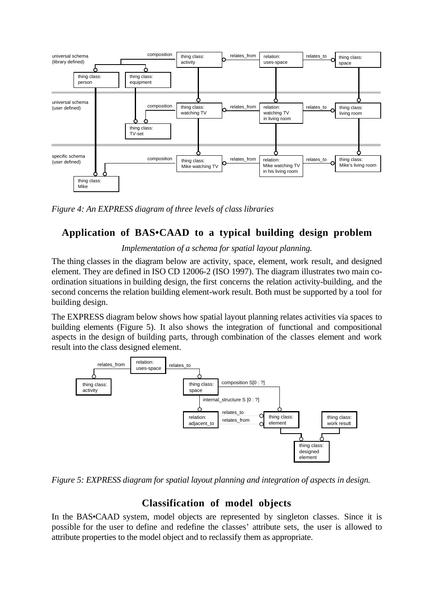

*Figure 4: An EXPRESS diagram of three levels of class libraries*

# **Application of BAS•CAAD to a typical building design problem**

# *Implementation of a schema for spatial layout planning.*

The thing classes in the diagram below are activity, space, element, work result, and designed element. They are defined in ISO CD 12006-2 (ISO 1997). The diagram illustrates two main coordination situations in building design, the first concerns the relation activity-building, and the second concerns the relation building element-work result. Both must be supported by a tool for building design.

The EXPRESS diagram below shows how spatial layout planning relates activities via spaces to building elements (Figure 5). It also shows the integration of functional and compositional aspects in the design of building parts, through combination of the classes element and work result into the class designed element.

![](_page_10_Figure_6.jpeg)

*Figure 5: EXPRESS diagram for spatial layout planning and integration of aspects in design.*

# **Classification of model objects**

In the BAS•CAAD system, model objects are represented by singleton classes. Since it is possible for the user to define and redefine the classes' attribute sets, the user is allowed to attribute properties to the model object and to reclassify them as appropriate.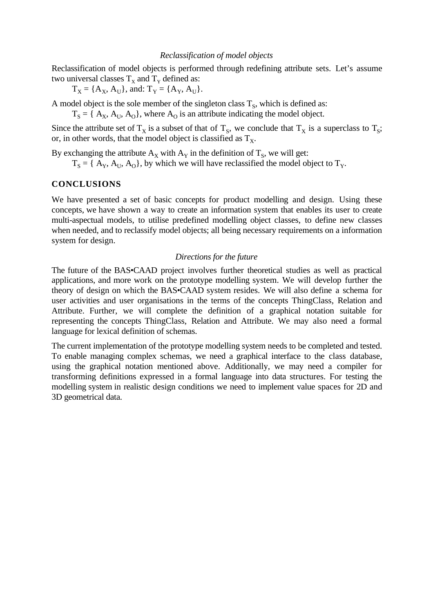Reclassification of model objects is performed through redefining attribute sets. Let's assume two universal classes  $T_x$  and  $T_y$  defined as:

 $T_X = \{A_X, A_U\}$ , and:  $T_Y = \{A_Y, A_U\}$ .

A model object is the sole member of the singleton class  $T_s$ , which is defined as:

 $T_s = \{ A_x, A_y, A_0 \}$ , where  $A_0$  is an attribute indicating the model object.

Since the attribute set of  $T_X$  is a subset of that of  $T_S$ , we conclude that  $T_X$  is a superclass to  $T_S$ ; or, in other words, that the model object is classified as  $T_x$ .

By exchanging the attribute  $A_X$  with  $A_Y$  in the definition of  $T_S$ , we will get:

 $T_s = \{ A_v, A_u, A_o \}$ , by which we will have reclassified the model object to  $T_v$ .

#### **CONCLUSIONS**

We have presented a set of basic concepts for product modelling and design. Using these concepts, we have shown a way to create an information system that enables its user to create multi-aspectual models, to utilise predefined modelling object classes, to define new classes when needed, and to reclassify model objects; all being necessary requirements on a information system for design.

#### *Directions for the future*

The future of the BAS•CAAD project involves further theoretical studies as well as practical applications, and more work on the prototype modelling system. We will develop further the theory of design on which the BAS•CAAD system resides. We will also define a schema for user activities and user organisations in the terms of the concepts ThingClass, Relation and Attribute. Further, we will complete the definition of a graphical notation suitable for representing the concepts ThingClass, Relation and Attribute. We may also need a formal language for lexical definition of schemas.

The current implementation of the prototype modelling system needs to be completed and tested. To enable managing complex schemas, we need a graphical interface to the class database, using the graphical notation mentioned above. Additionally, we may need a compiler for transforming definitions expressed in a formal language into data structures. For testing the modelling system in realistic design conditions we need to implement value spaces for 2D and 3D geometrical data.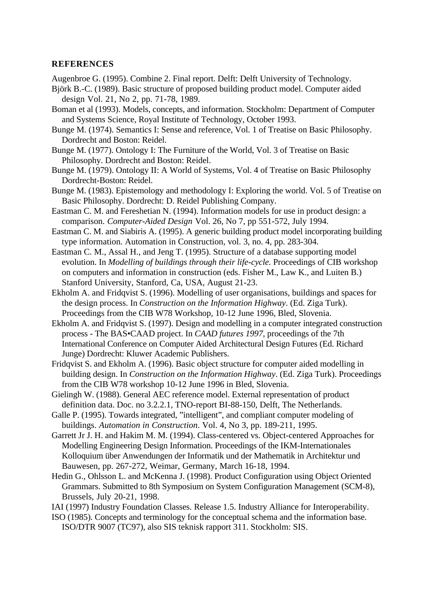#### **REFERENCES**

Augenbroe G. (1995). Combine 2. Final report. Delft: Delft University of Technology.

- Björk B.-C. (1989). Basic structure of proposed building product model. Computer aided design Vol. 21, No 2, pp. 71-78, 1989.
- Boman et al (1993). Models, concepts, and information. Stockholm: Department of Computer and Systems Science, Royal Institute of Technology, October 1993.
- Bunge M. (1974). Semantics I: Sense and reference, Vol. 1 of Treatise on Basic Philosophy. Dordrecht and Boston: Reidel.
- Bunge M. (1977). Ontology I: The Furniture of the World, Vol. 3 of Treatise on Basic Philosophy. Dordrecht and Boston: Reidel.
- Bunge M. (1979). Ontology II: A World of Systems, Vol. 4 of Treatise on Basic Philosophy Dordrecht-Boston: Reidel.
- Bunge M. (1983). Epistemology and methodology I: Exploring the world. Vol. 5 of Treatise on Basic Philosophy. Dordrecht: D. Reidel Publishing Company.
- Eastman C. M. and Fereshetian N. (1994). Information models for use in product design: a comparison. *Computer-Aided Design* Vol. 26, No 7, pp 551-572, July 1994.
- Eastman C. M. and Siabiris A. (1995). A generic building product model incorporating building type information. Automation in Construction, vol. 3, no. 4, pp. 283-304.
- Eastman C. M., Assal H., and Jeng T. (1995). Structure of a database supporting model evolution. In *Modelling of buildings through their life-cycle.* Proceedings of CIB workshop on computers and information in construction (eds. Fisher M., Law K., and Luiten B.) Stanford University, Stanford, Ca, USA, August 21-23.
- Ekholm A. and Fridqvist S. (1996). Modelling of user organisations, buildings and spaces for the design process. In *Construction on the Information Highway*. (Ed. Ziga Turk). Proceedings from the CIB W78 Workshop, 10-12 June 1996, Bled, Slovenia.
- Ekholm A. and Fridqvist S. (1997). Design and modelling in a computer integrated construction process - The BAS•CAAD project. In *CAAD futures 1997,* proceedings of the 7th International Conference on Computer Aided Architectural Design Futures (Ed. Richard Junge) Dordrecht: Kluwer Academic Publishers.
- Fridqvist S. and Ekholm A. (1996). Basic object structure for computer aided modelling in building design. In *Construction on the Information Highway*. (Ed. Ziga Turk). Proceedings from the CIB W78 workshop 10-12 June 1996 in Bled, Slovenia.
- Gielingh W. (1988). General AEC reference model. External representation of product definition data. Doc. no 3.2.2.1, TNO-report BI-88-150, Delft, The Netherlands.
- Galle P. (1995). Towards integrated, "intelligent", and compliant computer modeling of buildings. *Automation in Construction*. Vol. 4, No 3, pp. 189-211, 1995.
- Garrett Jr J. H. and Hakim M. M. (1994). Class-centered vs. Object-centered Approaches for Modelling Engineering Design Information. Proceedings of the IKM-Internationales Kolloquium über Anwendungen der Informatik und der Mathematik in Architektur und Bauwesen, pp. 267-272, Weimar, Germany, March 16-18, 1994.
- Hedin G., Ohlsson L. and McKenna J. (1998). Product Configuration using Object Oriented Grammars. Submitted to 8th Symposium on System Configuration Management (SCM-8), Brussels, July 20-21, 1998.
- IAI (1997) Industry Foundation Classes. Release 1.5. Industry Alliance for Interoperability.
- ISO (1985). Concepts and terminology for the conceptual schema and the information base. ISO/DTR 9007 (TC97), also SIS teknisk rapport 311. Stockholm: SIS.